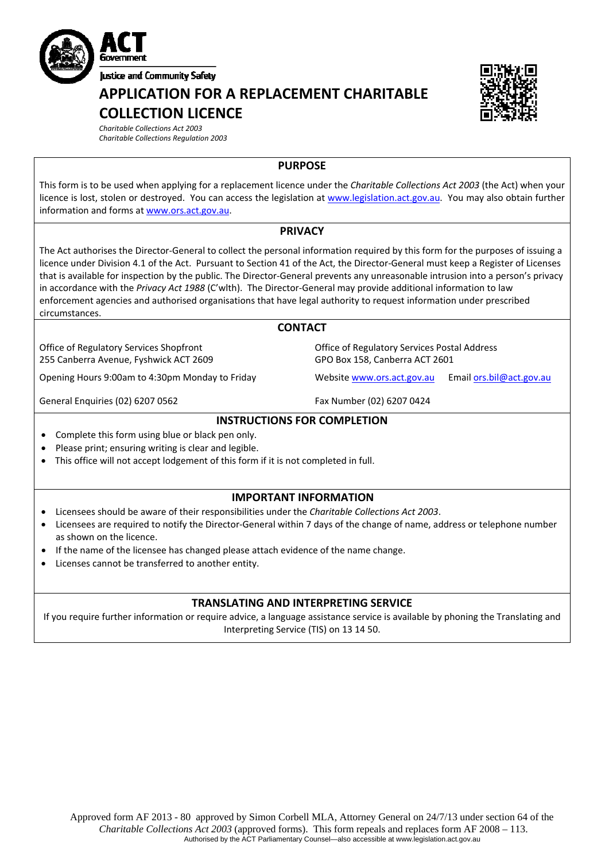

**APPLICATION FOR A REPLACEMENT CHARITABLE COLLECTION LICENCE**



*Charitable Collections Act 2003 Charitable Collections Regulation 2003*

# **PURPOSE**

This form is to be used when applying for a replacement licence under the *Charitable Collections Act 2003* (the Act) when your licence is lost, stolen or destroyed. You can access the legislation at [www.legislation.act.gov.au](http://www.legislation.act.gov.au/). You may also obtain further information and forms at [www.ors.act.gov.au](http://www.ors.act.gov.au/).

# **PRIVACY**

The Act authorises the Director‐General to collect the personal information required by this form for the purposes of issuing a licence under Division 4.1 of the Act. Pursuant to Section 41 of the Act, the Director‐General must keep a Register of Licenses that is available for inspection by the public. The Director‐General prevents any unreasonable intrusion into a person's privacy in accordance with the *Privacy Act 1988* (C'wlth). The Director‐General may provide additional information to law enforcement agencies and authorised organisations that have legal authority to request information under prescribed circumstances.

#### **CONTACT**

Office of Regulatory Services Shopfront 255 Canberra Avenue, Fyshwick ACT 2609

Opening Hours 9:00am to 4:30pm Monday to Friday Website [www.ors.act.gov.au](http://www.ors.act.gov.au/) Email [ors.bil@act.gov.au](mailto:ors.bil@act.gov.au)

General Enquiries (02) 6207 0562 Fax Number (02) 6207 0424

# **INSTRUCTIONS FOR COMPLETION**

- Complete this form using blue or black pen only.
- Please print; ensuring writing is clear and legible.
- This office will not accept lodgement of this form if it is not completed in full.

#### **IMPORTANT INFORMATION**

- Licensees should be aware of their responsibilities under the *Charitable Collections Act 2003*.
- Licensees are required to notify the Director‐General within 7 days of the change of name, address or telephone number as shown on the licence.
- If the name of the licensee has changed please attach evidence of the name change.
- Licenses cannot be transferred to another entity.

# **TRANSLATING AND INTERPRETING SERVICE**

If you require further information or require advice, a language assistance service is available by phoning the Translating and Interpreting Service (TIS) on 13 14 50.

Office of Regulatory Services Postal Address GPO Box 158, Canberra ACT 2601